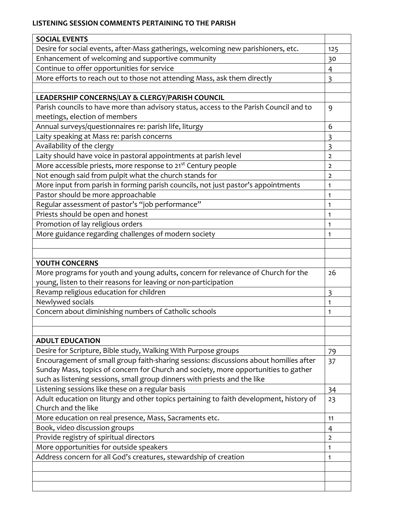## **LISTENING SESSION COMMENTS PERTAINING TO THE PARISH**

| <b>SOCIAL EVENTS</b>                                                                    |                         |
|-----------------------------------------------------------------------------------------|-------------------------|
| Desire for social events, after-Mass gatherings, welcoming new parishioners, etc.       | 125                     |
| Enhancement of welcoming and supportive community                                       | 30                      |
| Continue to offer opportunities for service                                             | 4                       |
| More efforts to reach out to those not attending Mass, ask them directly                | 3                       |
|                                                                                         |                         |
| LEADERSHIP CONCERNS/LAY & CLERGY/PARISH COUNCIL                                         |                         |
| Parish councils to have more than advisory status, access to the Parish Council and to  | 9                       |
| meetings, election of members                                                           |                         |
| Annual surveys/questionnaires re: parish life, liturgy                                  | 6                       |
| Laity speaking at Mass re: parish concerns                                              | 3                       |
| Availability of the clergy                                                              | $\overline{\mathbf{3}}$ |
| Laity should have voice in pastoral appointments at parish level                        | $\overline{2}$          |
| More accessible priests, more response to 21 <sup>st</sup> Century people               | $\overline{2}$          |
| Not enough said from pulpit what the church stands for                                  | $\overline{2}$          |
| More input from parish in forming parish councils, not just pastor's appointments       | $\mathbf{1}$            |
| Pastor should be more approachable                                                      | 1                       |
| Regular assessment of pastor's "job performance"                                        | $\mathbf{1}$            |
| Priests should be open and honest                                                       | 1                       |
| Promotion of lay religious orders                                                       | $\mathbf{1}$            |
| More guidance regarding challenges of modern society                                    | 1                       |
|                                                                                         |                         |
|                                                                                         |                         |
| YOUTH CONCERNS                                                                          |                         |
| More programs for youth and young adults, concern for relevance of Church for the       | 26                      |
| young, listen to their reasons for leaving or non-participation                         |                         |
| Revamp religious education for children                                                 | $\overline{\mathbf{3}}$ |
| Newlywed socials                                                                        | $\mathbf{1}$            |
| Concern about diminishing numbers of Catholic schools                                   | 1                       |
|                                                                                         |                         |
|                                                                                         |                         |
| <b>ADULT EDUCATION</b>                                                                  |                         |
| Desire for Scripture, Bible study, Walking With Purpose groups                          | 79                      |
| Encouragement of small group faith-sharing sessions: discussions about homilies after   | 37                      |
| Sunday Mass, topics of concern for Church and society, more opportunities to gather     |                         |
| such as listening sessions, small group dinners with priests and the like               |                         |
| Listening sessions like these on a regular basis                                        | 34                      |
| Adult education on liturgy and other topics pertaining to faith development, history of | 23                      |
| Church and the like                                                                     |                         |
| More education on real presence, Mass, Sacraments etc.                                  | 11                      |
| Book, video discussion groups                                                           | 4                       |
| Provide registry of spiritual directors                                                 | $\overline{2}$          |
| More opportunities for outside speakers                                                 | $\mathbf{1}$            |
| Address concern for all God's creatures, stewardship of creation                        | 1                       |
|                                                                                         |                         |
|                                                                                         |                         |
|                                                                                         |                         |